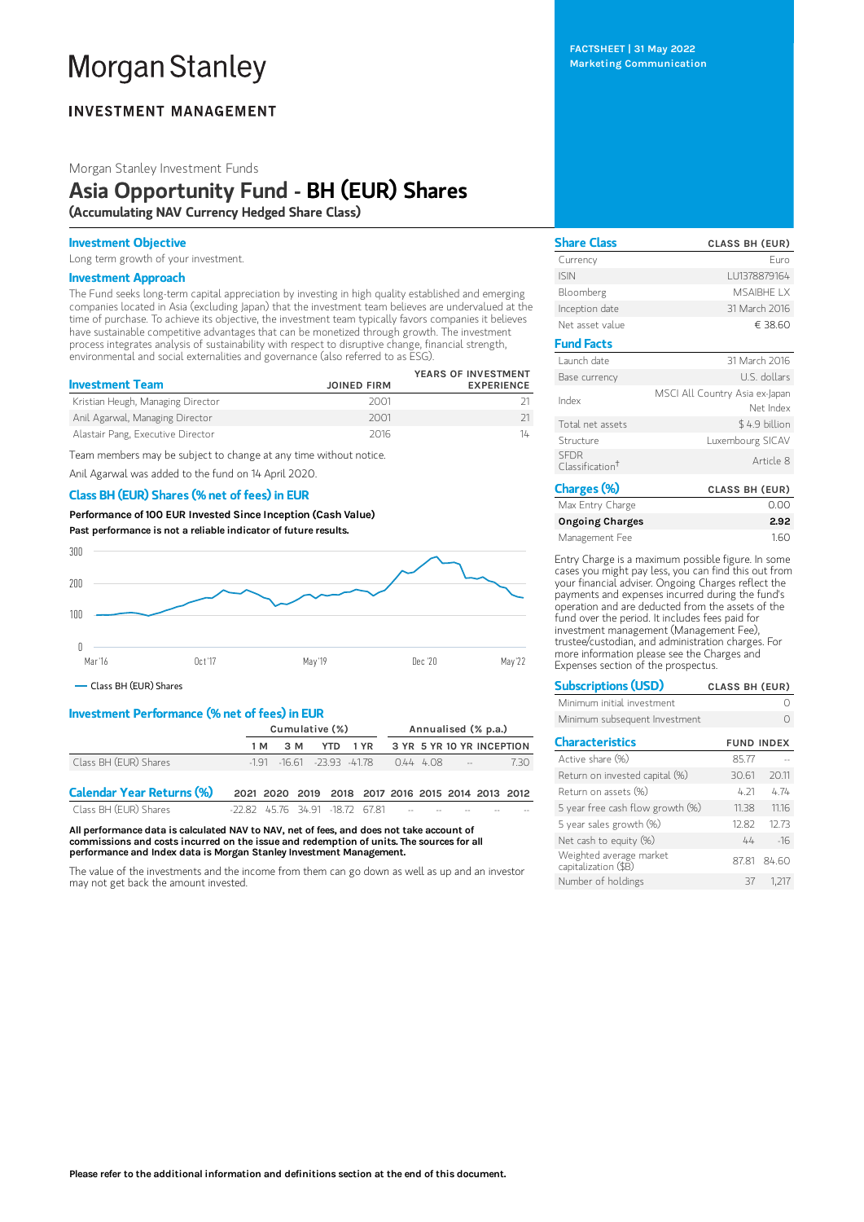# **Morgan Stanley**

# **INVESTMENT MANAGEMENT**

Morgan Stanley Investment Funds

# Asia Opportunity Fund - BH (EUR) Shares (Accumulating NAV Currency Hedged Share Class)

### Investment Objective

Long term growth of your investment.

## Investment Approach

The Fund seeks long-term capital appreciation by investing in high quality established and emerging companies located in Asia (excluding Japan) that the investment team believes are undervalued at the time of purchase. To achieve its objective, the investment team typically favors companies it believes have sustainable competitive advantages that can be monetized through growth. The investment process integrates analysis of sustainability with respect to disruptive change, financial strength, environmental and social externalities and governance (also referred to as ESG).

|                                   |                    | YEARS OF INVESTMENT |
|-----------------------------------|--------------------|---------------------|
| <b>Investment Team</b>            | <b>JOINED FIRM</b> | <b>EXPERIENCE</b>   |
| Kristian Heugh, Managing Director | 2001               |                     |
| Anil Agarwal, Managing Director   | 2001               |                     |
| Alastair Pang, Executive Director | 2016               | 14                  |

Team members may be subject to change at any time without notice.

Anil Agarwal was added to the fund on 14 April 2020.

# Class BH (EUR) Shares (% net of fees) in EUR

Performance of100 EUR Invested Since Inception (Cash Value) Past performance is not a reliable indicator of future results.



Class BH (EUR) Shares

# Investment Performance (% net of fees) in EUR

|                                  | Cumulative (%)                       |                                    |            | Annualised (% p.a.)                               |                           |  |  |      |
|----------------------------------|--------------------------------------|------------------------------------|------------|---------------------------------------------------|---------------------------|--|--|------|
|                                  | 1 M                                  | 3 M                                | <b>YTD</b> | 1 YR                                              | 3 YR 5 YR 10 YR INCEPTION |  |  |      |
| Class BH (EUR) Shares            |                                      | $-1.91$ $-16.61$ $-23.93$ $-41.78$ |            |                                                   | $0.44 \quad 4.08$ --      |  |  | 7.30 |
| <b>Calendar Year Returns (%)</b> |                                      |                                    |            | 2021 2020 2019 2018 2017 2016 2015 2014 2013 2012 |                           |  |  |      |
| Class RH (FUR) Shares            | -22.82 45.76 34.91 -18.72 67.81 -- - |                                    |            |                                                   |                           |  |  |      |

All performance data is calculated NAV to NAV, net of fees, and does not take account of commissions and costs incurred on the issue and redemption of units. The sources for all performance and Index data is Morgan Stanley Investment Management.

The value of the investments and the income from them can go down as well as up and an investor may not get back the amount invested.

FACTSHEET | 31 May 2022 Marketing Communication

Share Class CLASS BH (EUR) Currency European European European European European European European European European European European European European European European European European European European European European European European Europe ISIN LU1378879164 Bloomberg MSAIBHE LX Inception date 31 March 2016 Net asset value  $638.60$ Fund Facts Launch date 31 March 2016 Base currency U.S. dollars Index MSCI All Country Asia ex-Japan Net Index Total net assets \$4.9 billion Structure Luxembourg SICAV SFDR Classification †Article 8 Charges (%) CLASS BH (EUR) Max Entry Charge 0.00 Ongoing Charges 2.92

Entry Charge is a maximum possible figure. In some cases you might pay less, you can find this out from your financial adviser. Ongoing Charges reflect the payments and expenses incurred during the fund's operation and are deducted from the assets of the fund over the period. It includes fees paid for investment management (Management Fee), trustee/custodian, and administration charges. For more information please see the Charges and Expenses section of the prospectus.

Management Fee 1.60

| <b>Subscriptions (USD)</b>                      | <b>CLASS BH (EUR)</b> |
|-------------------------------------------------|-----------------------|
| Minimum initial investment                      |                       |
| Minimum subsequent Investment                   |                       |
| <b>Characteristics</b>                          | <b>FUND INDEX</b>     |
| Active share (%)                                | 85.77                 |
| Return on invested capital (%)                  | 30.61<br>20.11        |
| Return on assets (%)                            | 4 21<br>474           |
| 5 year free cash flow growth (%)                | 1116<br>11.38         |
| 5 year sales growth (%)                         | 12.73<br>12.82        |
| Net cash to equity (%)                          | 44<br>$-16$           |
| Weighted average market<br>capitalization (\$B) | 84.60<br>8781         |
| Number of holdings                              | 37<br>1.217           |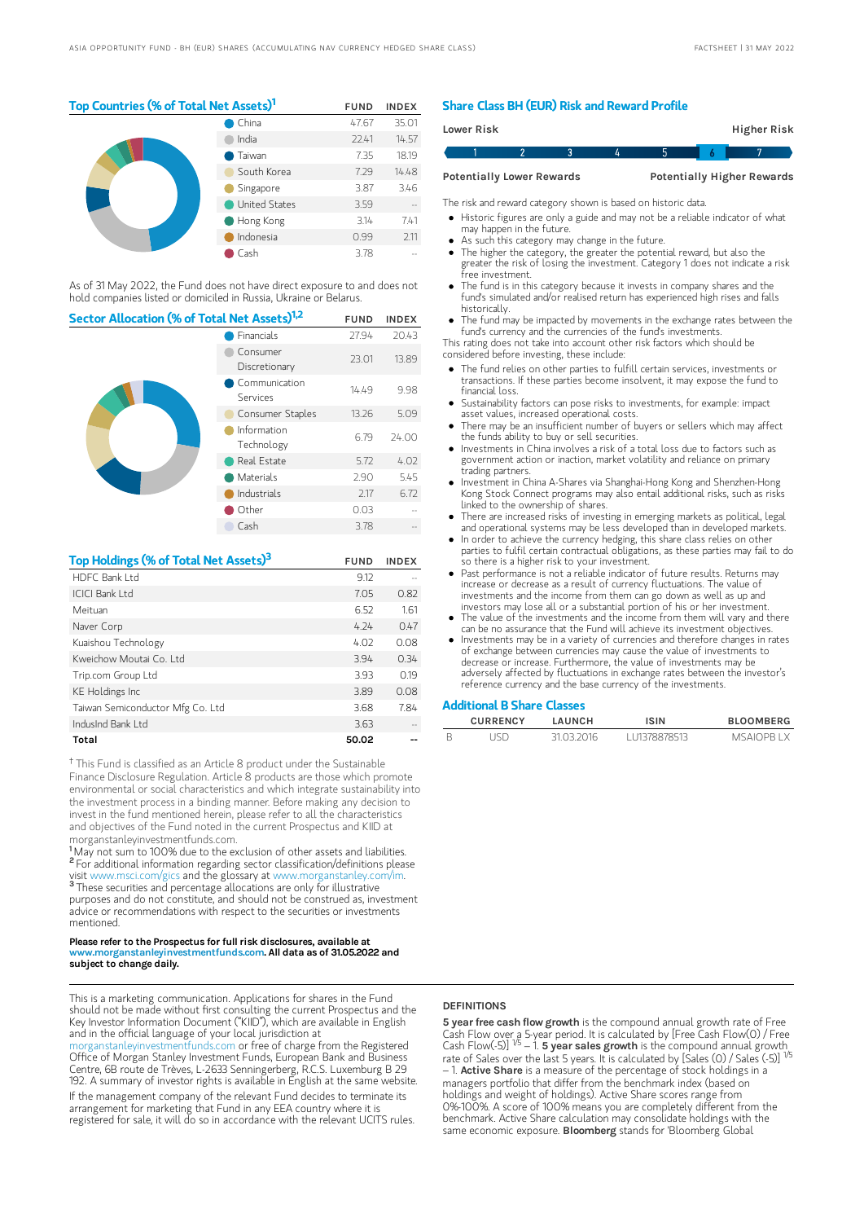# Top Countries (% of Total Net Assets)<sup>1</sup> FUND INDEX

|  | China                | 47.67 | 35.01 |
|--|----------------------|-------|-------|
|  | India                | 22.41 | 14.57 |
|  | Taiwan               | 7.35  | 18.19 |
|  | South Korea          | 7.29  | 14.48 |
|  | Singapore            | 3.87  | 3.46  |
|  | <b>United States</b> | 3.59  |       |
|  | Hong Kong            | 3.14  | 7.41  |
|  | Indonesia            | 0.99  | 2.11  |
|  | Cash                 | 3.78  |       |

As of 31 May 2022, the Fund does not have direct exposure to and does not hold companies listed or domiciled in Russia, Ukraine or Belarus.

| Sector Allocation (% of Total Net Assets) <sup>1,2</sup> | <b>FUND</b>               | <b>INDEX</b> |       |
|----------------------------------------------------------|---------------------------|--------------|-------|
|                                                          | Financials                | 27.94        | 20.43 |
|                                                          | Consumer<br>Discretionary | 23.01        | 13.89 |
|                                                          | Communication<br>Services | 14.49        | 9.98  |
|                                                          | Consumer Staples          | 13.26        | 5.09  |
|                                                          | Information<br>Technology | 6.79         | 74.00 |
|                                                          | Real Estate               | 5.72         | 4.02  |
|                                                          | Materials                 | 2.90         | 5.45  |
|                                                          | Industrials               | 2.17         | 6.72  |
|                                                          | Other                     | 0.03         |       |
|                                                          | Cash                      | 3.78         |       |

| Top Holdings (% of Total Net Assets) <sup>3</sup> | <b>FUND</b> | <b>INDEX</b> |
|---------------------------------------------------|-------------|--------------|
| HDFC Bank I td                                    | 9.12        |              |
| ICICI Bank I td                                   | 7.05        | 0.82         |
| Meituan                                           | 6.52        | 1.61         |
| Naver Corp                                        | 4.24        | 0.47         |
| Kuaishou Technology                               | 4.02        | 0.08         |
| Kweichow Moutai Co. Ltd.                          | 3.94        | 0.34         |
| Trip.com Group Ltd                                | 3.93        | 0.19         |
| <b>KE</b> Holdings Inc                            | 3.89        | 0.08         |
| Taiwan Semiconductor Mfg Co. Ltd                  | 3.68        | 7.84         |
| IndusInd Bank Ltd                                 | 3.63        |              |
| Total                                             | 50.02       |              |

<sup>†</sup> This Fund is classified as an Article 8 product under the Sustainable Finance Disclosure Regulation. Article 8 products are those which promote environmental or social characteristics and which integrate sustainability into the investment process in a binding manner. Before making any decision to invest in the fund mentioned herein, please refer to all the characteristics and objectives of the Fund noted in the current Prospectus and KIID at morganstanleyinvestmentfunds.com.

<sup>1</sup>May not sum to 100% due to the exclusion of other assets and liabilities. <sup>2</sup> For additional information regarding sector classification/definitions please visit www.msci.com/gics and the glossary at www.morganstanley.com/im. <sup>3</sup> These securities and percentage allocations are only for illustrative purposes and do not constitute, and should not be construed as, investment advice or recommendations with respect to the securities or investments mentioned.

#### Please refer to the Prospectus for full risk disclosures, available at v.morganstanleyinvestmentfunds.com. All data as of 31.05.2022 and subject to change daily.

This is a marketing communication. Applications for shares in the Fund should not be made without first consulting the current Prospectus and the Key Investor Information Document ("KIID"), which are available in English and in the official language of your local jurisdiction at [morganstanleyinvestmentfunds.com](https://www.morganstanley.com/im/msinvf/index.html) or free of charge from the Registered Office of Morgan Stanley Investment Funds, European Bank and Business Centre, 6B route de Trèves, L-2633 Senningerberg, R.C.S. Luxemburg B 29 192. A summary of investor rights is available in English at the same website. If the management company of the relevant Fund decides to terminate its arrangement for marketing that Fund in any EEA country where it is registered for sale, it will do so in accordance with the relevant UCITS rules.

# Share Class BH (EUR) Risk and Reward Profile

| Lower Risk                       |  |  | Higher Risk                       |  |
|----------------------------------|--|--|-----------------------------------|--|
|                                  |  |  |                                   |  |
| <b>Potentially Lower Rewards</b> |  |  | <b>Potentially Higher Rewards</b> |  |

The risk and reward category shown is based on historic data.

Historic figures are only a guide and may not be a reliable indicator of what

- may happen in the future.
- As such this category may change in the future.
- The higher the category, the greater the potential reward, but also the greater the risk of losing the investment. Category 1 does not indicate a risk free investment.
- The fund is in this category because it invests in company shares and the fund's simulated and/or realised return has experienced high rises and falls historically.
- The fund may be impacted by movements in the exchange rates between the fund's currency and the currencies of the fund's investments.

This rating does not take into account other risk factors which should be considered before investing, these include:

- The fund relies on other parties to fulfill certain services, investments or transactions. If these parties become insolvent, it may expose the fund to financial loss.
- Sustainability factors can pose risks to investments, for example: impact asset values, increased operational costs.
- There may be an insufficient number of buyers or sellers which may affect the funds ability to buy or sell securities.
- Investments in China involves a risk of a total loss due to factors such as government action or inaction, market volatility and reliance on primary trading partners.
- Investment in China A-Shares via Shanghai-Hong Kong and Shenzhen-Hong Kong Stock Connect programs may also entail additional risks, such as risks linked to the ownership of shares.
- There are increased risks of investing in emerging markets as political, legal and operational systems may be less developed than in developed markets.
- In order to achieve the currency hedging, this share class relies on other parties to fulfil certain contractual obligations, as these parties may fail to do so there is a higher risk to your investment.
- Past performance is not a reliable indicator of future results. Returns may increase or decrease as a result of currency fluctuations. The value of investments and the income from them can go down as well as up and investors may lose all or a substantial portion of his or her investment.
- The value of the investments and the income from them will vary and there can be no assurance that the Fund will achieve its investment objectives.
- Investments may be in a variety of currencies and therefore changes in rates of exchange between currencies may cause the value of investments to decrease or increase. Furthermore, the value of investments may be adversely affected by fluctuations in exchange rates between the investor's reference currency and the base currency of the investments.

#### Additional B Share Classes

| <b>CURRENCY</b> | LAUNCH     | ISIN         | <b>BLOOMBERG</b> |
|-----------------|------------|--------------|------------------|
| ISD             | 31 03 2016 | 111378878513 | <b>MSAIOPRIX</b> |

# **DEFINITIONS**

5 year free cash flow growth is the compound annual growth rate of Free Cash Flow over a 5-year period. It is calculated by [Free Cash Flow(0) / Free<br>Cash Flow(-5)] <sup>1/5</sup> – 1. **5 year saIes growth** is the compound annual growth\_ rate of Sales over the last 5 years. It is calculated by [Sales (0) / Sales (-5)]<br>– 1. **Active Share** is a measure of the percentage of stock holdings in a managers portfolio that differ from the benchmark index (based on holdings and weight of holdings). Active Share scores range from 0%-100%. A score of 100% means you are completely different from the benchmark. Active Share calculation may consolidate holdings with the same economic exposure. Bloomberg stands for 'Bloomberg Global 1/5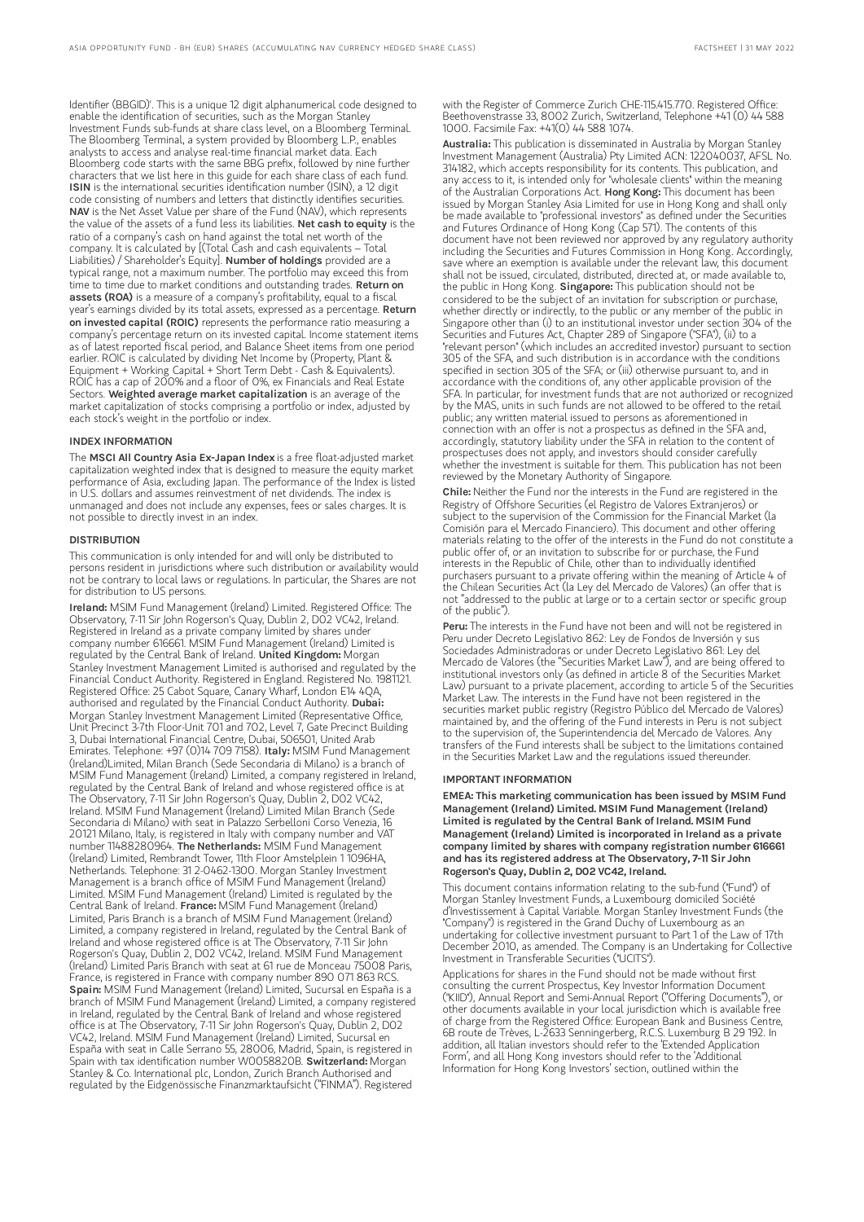Identifier (BBGID)'. This is a unique 12 digit alphanumerical code designed to enable the identification of securities, such as the Morgan Stanley Investment Funds sub-funds at share class level, on a Bloomberg Terminal. The Bloomberg Terminal, a system provided by Bloomberg L.P., enables analysts to access and analyse real-time financial market data. Each Bloomberg code starts with the same BBG prefix, followed by nine further characters that we list here in this guide for each share class of each fund. ISIN is the international securities identification number (ISIN), a 12 digit code consisting of numbers and letters that distinctly identifies securities. NAV is the Net Asset Value per share of the Fund (NAV), which represents the value of the assets of a fund less its liabilities. Net cash to equity is the ratio of a company's cash on hand against the total net worth of the company. It is calculated by [(Total Cash and cash equivalents – Total Liabilities) / Shareholder's Equity]. Number of holdings provided are a typical range, not a maximum number. The portfolio may exceed this from time to time due to market conditions and outstanding trades. Return on assets (ROA) is a measure of a company's profitability, equal to a fiscal year's earnings divided by its total assets, expressed as a percentage. Return on invested capital (ROIC) represents the performance ratio measuring a company's percentage return on its invested capital. Income statement items as of latest reported fiscal period, and Balance Sheet items from one period earlier. ROIC is calculated by dividing Net Income by (Property, Plant & Equipment + Working Capital + Short Term Debt - Cash & Equivalents). ROIC has a cap of 200% and a floor of 0%, ex Financials and Real Estate Sectors. Weighted average market capitalization is an average of the market capitalization of stocks comprising a portfolio or index, adjusted by each stock's weight in the portfolio or index.

#### INDEX INFORMATION

The MSCI All Country Asia Ex-Japan Index is a free float-adjusted market capitalization weighted index that is designed to measure the equity market performance of Asia, excluding Japan. The performance of the Index is listed in U.S. dollars and assumes reinvestment of net dividends. The index is unmanaged and does not include any expenses, fees or sales charges. It is not possible to directly invest in an index.

#### **DISTRIBUTION**

This communication is only intended for and will only be distributed to persons resident in jurisdictions where such distribution or availability would not be contrary to local laws or regulations. In particular, the Shares are not for distribution to US persons.

Ireland: MSIM Fund Management (Ireland) Limited. Registered Office: The Observatory, 7-11 Sir John Rogerson's Quay, Dublin 2, D02 VC42, Ireland. Registered in Ireland as a private company limited by shares under company number 616661. MSIM Fund Management (Ireland) Limited is regulated by the Central Bank of Ireland. United Kingdom: Morgan Stanley Investment Management Limited is authorised and regulated by the Financial Conduct Authority. Registered in England. Registered No. 1981121. Registered Office: 25 Cabot Square, Canary Wharf, London E14 4QA, authorised and regulated by the Financial Conduct Authority. Dubai: Morgan Stanley Investment Management Limited (Representative Office, Unit Precinct 3-7th Floor-Unit 701 and 702, Level 7, Gate Precinct Building 3, Dubai International Financial Centre, Dubai, 506501, United Arab Emirates. Telephone: +97 (0)14 709 7158). **Italy:** MSIM Fund Management (Ireland)Limited, Milan Branch (Sede Secondaria di Milano) is a branch of MSIM Fund Management (Ireland) Limited, a company registered in Ireland, regulated by the Central Bank of Ireland and whose registered office is at The Observatory, 7-11 Sir John Rogerson's Quay, Dublin 2, D02 VC42, Ireland. MSIM Fund Management (Ireland) Limited Milan Branch (Sede Secondaria di Milano) with seat in Palazzo Serbelloni Corso Venezia, 16 20121 Milano, Italy, is registered in Italy with company number and VAT number 11488280964. The Netherlands: MSIM Fund Management (Ireland) Limited, Rembrandt Tower, 11th Floor Amstelplein 1 1096HA, Netherlands. Telephone: 31 2-0462-1300. Morgan Stanley Investment Management is a branch office of MSIM Fund Management (Ireland) Limited. MSIM Fund Management (Ireland) Limited is regulated by the Central Bank of Ireland. France: MSIM Fund Management (Ireland) Limited, Paris Branch is a branch of MSIM Fund Management (Ireland) Limited, a company registered in Ireland, regulated by the Central Bank of Ireland and whose registered office is at The Observatory, 7-11 Sir John Rogerson's Quay, Dublin 2, D02 VC42, Ireland. MSIM Fund Management (Ireland) Limited Paris Branch with seat at 61 rue de Monceau 75008 Paris, France, is registered in France with company number 890 071 863 RCS. Spain: MSIM Fund Management (Ireland) Limited, Sucursal en España is a branch of MSIM Fund Management (Ireland) Limited, a company registered in Ireland, regulated by the Central Bank of Ireland and whose registered office is at The Observatory, 7-11 Sir John Rogerson's Quay, Dublin 2, D02 VC42, Ireland. MSIM Fund Management (Ireland) Limited, Sucursal en España with seat in Calle Serrano 55, 28006, Madrid, Spain, is registered in Spain with tax identification number W0058820B. Switzerland: Morgan Stanley & Co. International plc, London, Zurich Branch Authorised and regulated by the Eidgenössische Finanzmarktaufsicht ("FINMA"). Registered

with the Register of Commerce Zurich CHE-115.415.770. Registered Office: Beethovenstrasse 33, 8002 Zurich, Switzerland, Telephone +41 (0) 44 588 1000. Facsimile Fax: +41(0) 44 588 1074.

Australia: This publication is disseminated in Australia by Morgan Stanley Investment Management (Australia) Pty Limited ACN: 122040037, AFSL No. 314182, which accepts responsibility for its contents. This publication, and any access to it, is intended only for "wholesale clients" within the meaning of the Australian Corporations Act. **Hong Kong:** This document has been issued by Morgan Stanley Asia Limited for use in Hong Kong and shall only be made available to "professional investors" as defined under the Securities and Futures Ordinance of Hong Kong (Cap 571). The contents of this document have not been reviewed nor approved by any regulatory authority including the Securities and Futures Commission in Hong Kong. Accordingly, save where an exemption is available under the relevant law, this document shall not be issued, circulated, distributed, directed at, or made available to, the public in Hong Kong. Singapore: This publication should not be considered to be the subject of an invitation for subscription or purchase, whether directly or indirectly, to the public or any member of the public in Singapore other than (i) to an institutional investor under section 304 of the Securities and Futures Act, Chapter 289 of Singapore ("SFA"), (ii) to a "relevant person" (which includes an accredited investor) pursuant to section 305 of the SFA, and such distribution is in accordance with the conditions specified in section 305 of the SFA; or (iii) otherwise pursuant to, and in accordance with the conditions of, any other applicable provision of the SFA. In particular, for investment funds that are not authorized or recognized by the MAS, units in such funds are not allowed to be offered to the retail public; any written material issued to persons as aforementioned in connection with an offer is not a prospectus as defined in the SFA and, accordingly, statutory liability under the SFA in relation to the content of prospectuses does not apply, and investors should consider carefully whether the investment is suitable for them. This publication has not been reviewed by the Monetary Authority of Singapore.

Chile: Neither the Fund nor the interests in the Fund are registered in the Registry of Offshore Securities (el Registro de Valores Extranjeros) or subject to the supervision of the Commission for the Financial Market (la Comisión para el Mercado Financiero). This document and other offering materials relating to the offer of the interests in the Fund do not constitute a public offer of, or an invitation to subscribe for or purchase, the Fund interests in the Republic of Chile, other than to individually identified purchasers pursuant to a private offering within the meaning of Article 4 of the Chilean Securities Act (la Ley del Mercado de Valores) (an offer that is not "addressed to the public at large or to a certain sector or specific group of the public").

Peru: The interests in the Fund have not been and will not be registered in Peru under Decreto Legislativo 862: Ley de Fondos de Inversión y sus Sociedades Administradoras or under Decreto Legislativo 861: Ley del Mercado de Valores (the "Securities Market Law"), and are being offered to institutional investors only (as defined in article 8 of the Securities Market Law) pursuant to a private placement, according to article 5 of the Securities Market Law. The interests in the Fund have not been registered in the securities market public registry (Registro Público del Mercado de Valores) maintained by, and the offering of the Fund interests in Peru is not subject to the supervision of, the Superintendencia del Mercado de Valores. Any transfers of the Fund interests shall be subject to the limitations contained in the Securities Market Law and the regulations issued thereunder.

#### IMPORTANT INFORMATION

EMEA: This marketing communication has been issued by MSIM Fund Management (Ireland) Limited. MSIM Fund Management (Ireland) Limited is regulated by the Central Bank of Ireland. MSIM Fund Management (Ireland) Limited is incorporated in Ireland as a private company limited by shares with company registration number 616661 and has its registered address at The Observatory, 7-11 Sir John Rogerson's Quay, Dublin 2, D02 VC42, Ireland.

This document contains information relating to the sub-fund ("Fund") of Morgan Stanley Investment Funds, a Luxembourg domiciled Société d'Investissement à Capital Variable. Morgan Stanley Investment Funds (the "Company") is registered in the Grand Duchy of Luxembourg as an undertaking for collective investment pursuant to Part 1 of the Law of 17th December 2010, as amended. The Company is an Undertaking for Collective Investment in Transferable Securities ("UCITS").

Applications for shares in the Fund should not be made without first consulting the current Prospectus, Key Investor Information Document ("KIID"), Annual Report and Semi-Annual Report ("Offering Documents"), or other documents available in your local jurisdiction which is available free of charge from the Registered Office: European Bank and Business Centre, 6B route de Trèves, L-2633 Senningerberg, R.C.S. Luxemburg B 29 192. In addition, all Italian investors should refer to the 'Extended Application Form', and all Hong Kong investors should refer to the 'Additional Information for Hong Kong Investors' section, outlined within the